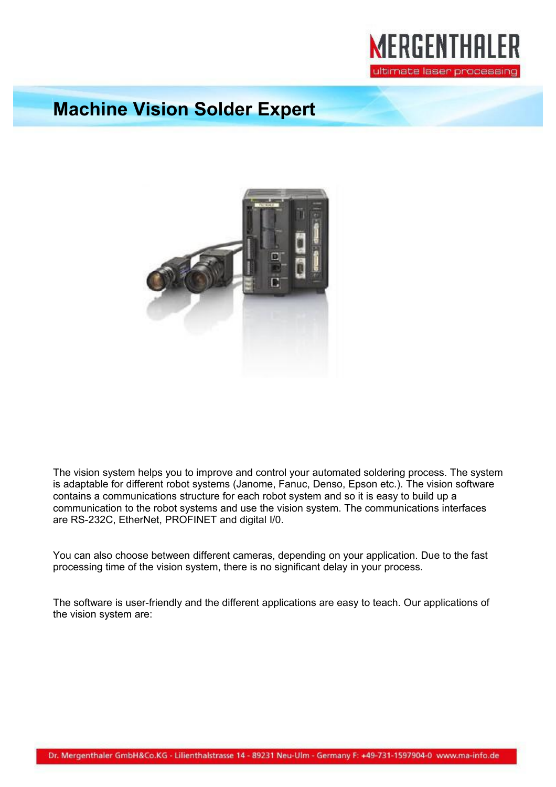

## **Machine Vision Solder Expert**



The vision system helps you to improve and control your automated soldering process. The system is adaptable for different robot systems (Janome, Fanuc, Denso, Epson etc.). The vision software contains a communications structure for each robot system and so it is easy to build up a communication to the robot systems and use the vision system. The communications interfaces are RS-232C, EtherNet, PROFINET and digital I/0.

You can also choose between different cameras, depending on your application. Due to the fast processing time of the vision system, there is no significant delay in your process.

The software is user-friendly and the different applications are easy to teach. Our applications of the vision system are: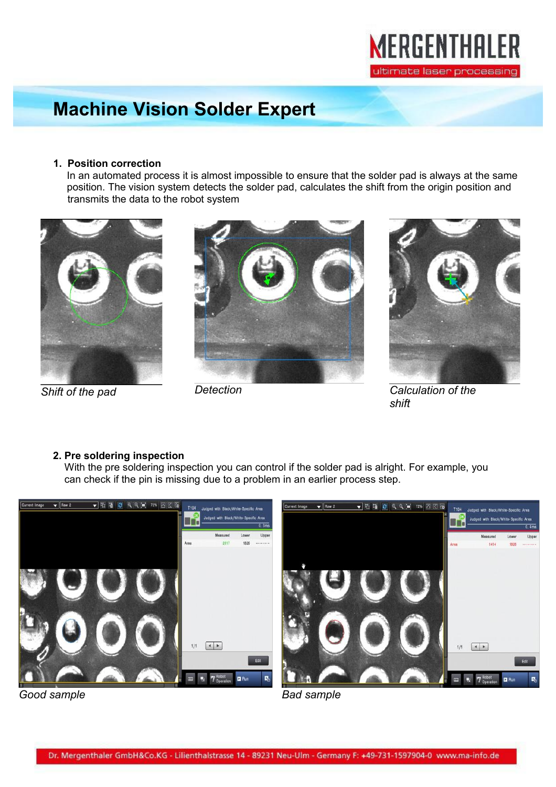

# **Machine Vision Solder Expert**

### **1. Position correction**

 In an automated process it is almost impossible to ensure that the solder pad is always at the same position. The vision system detects the solder pad, calculates the shift from the origin position and transmits the data to the robot system







*Shift of the pad Detection Calculation of the shift* 

## **2. Pre soldering inspection**

 With the pre soldering inspection you can control if the solder pad is alright. For example, you can check if the pin is missing due to a problem in an earlier process step.